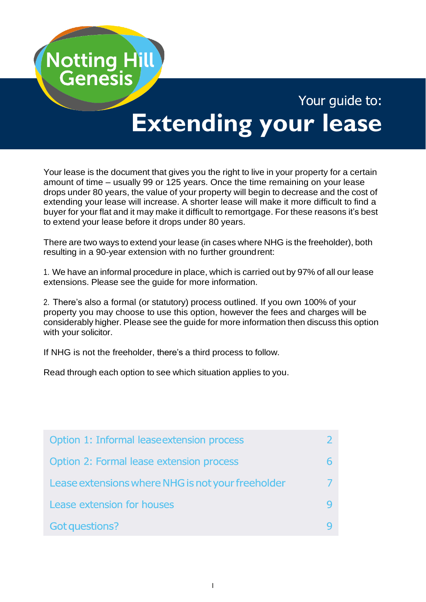

# Your guide to: **Extending your lease**

Your lease is the document that gives you the right to live in your property for a certain amount of time – usually 99 or 125 years. Once the time remaining on your lease drops under 80 years, the value of your property will begin to decrease and the cost of extending your lease will increase. A shorter lease will make it more difficult to find a buyer for your flat and it may make it difficult to remortgage. For these reasons it's best to extend your lease before it drops under 80 years.

There are two ways to extend your lease (in cases where NHG is the freeholder), both resulting in a 90-year extension with no further groundrent:

1. We have an informal procedure in place, which is carried out by 97% of all our lease extensions. Please see the guide for more information.

2. There's also a formal (or statutory) process outlined. If you own 100% of your property you may choose to use this option, however the fees and charges will be considerably higher. Please see the guide for more information then discuss this option with your solicitor.

If NHG is not the freeholder, there's a third process to follow.

Read through each option to see which situation applies to you.

| Option 1: Informal lease extension process        |  |
|---------------------------------------------------|--|
| Option 2: Formal lease extension process          |  |
| Lease extensions where NHG is not your freeholder |  |
| Lease extension for houses                        |  |
| Got questions?                                    |  |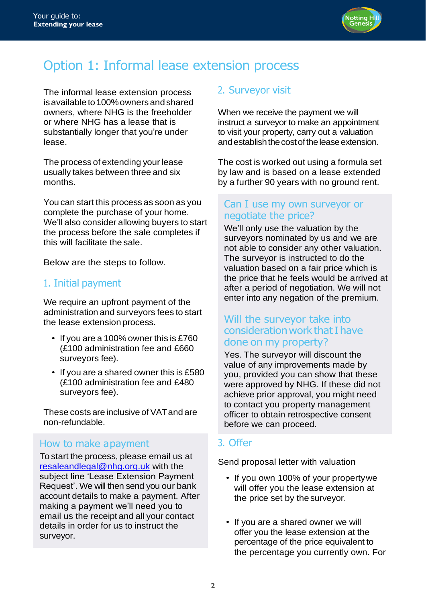

# Option 1: Informal lease extension process

The informal lease extension process isavailableto100%ownersandshared owners, where NHG is the freeholder or where NHG has a lease that is substantially longer that you're under lease.

The process of extending your lease usually takes between three and six months.

You can start this process as soon as you complete the purchase of your home. We'll also consider allowing buyers to start the process before the sale completes if this will facilitate the sale.

Below are the steps to follow.

# 1. Initial payment

We require an upfront payment of the administration and surveyors fees to start the lease extension process.

- If you are a 100% owner this is £760 (£100 administration fee and £660 surveyors fee).
- If you are a shared owner this is £580 (£100 administration fee and £480 surveyors fee).

These costs are inclusive of VAT and are non-refundable.

#### How to make apayment

To start the process, please email us at [resaleandlegal@nhg.org.uk](mailto:resaleandlegal@nhg.org.uk) with the subject line 'Lease Extension Payment Request'. We will then send you our bank account details to make a payment. After making a payment we'll need you to email us the receipt and all your contact details in order for us to instruct the surveyor.

# 2. Surveyor visit

When we receive the payment we will instruct a surveyor to make an appointment to visit your property, carry out a valuation and establish the cost of the lease extension.

The cost is worked out using a formula set by law and is based on a lease extended by a further 90 years with no ground rent.

#### Can I use my own surveyor or negotiate the price?

We'll only use the valuation by the surveyors nominated by us and we are not able to consider any other valuation. The surveyor is instructed to do the valuation based on a fair price which is the price that he feels would be arrived at after a period of negotiation. We will not enter into any negation of the premium.

# Will the surveyor take into consideration work that I have done on my property?

Yes. The surveyor will discount the value of any improvements made by you, provided you can show that these were approved by NHG. If these did not achieve prior approval, you might need to contact you property management officer to obtain retrospective consent before we can proceed.

#### 3. Offer

Send proposal letter with valuation

- If you own 100% of your propertywe will offer you the lease extension at the price set by the surveyor.
- If you are a shared owner we will offer you the lease extension at the percentage of the price equivalent to the percentage you currently own. For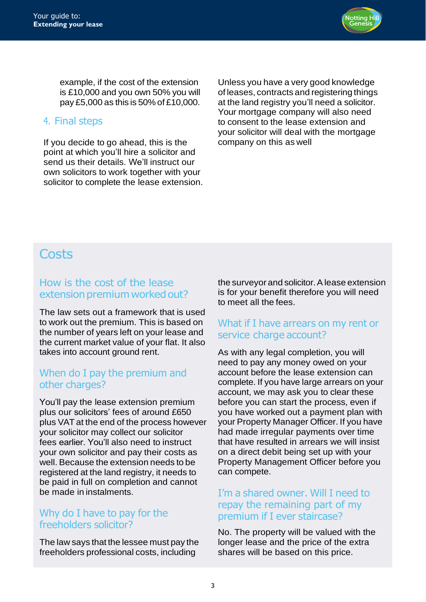

example, if the cost of the extension is £10,000 and you own 50% you will pay £5,000 as this is 50% of £10,000.

### 4. Final steps

If you decide to go ahead, this is the point at which you'll hire a solicitor and send us their details. We'll instruct our own solicitors to work together with your solicitor to complete the lease extension.

Unless you have a very good knowledge of leases, contracts and registering things at the land registry you'll need a solicitor. Your mortgage company will also need to consent to the lease extension and your solicitor will deal with the mortgage company on this as well

# **Costs**

## How is the cost of the lease extension premium worked out?

The law sets out a framework that is used to work out the premium. This is based on the number of years left on your lease and the current market value of your flat. It also takes into account ground rent.

## When do I pay the premium and other charges?

You'll pay the lease extension premium plus our solicitors' fees of around £650 plus VAT at the end of the process however your solicitor may collect our solicitor fees earlier. You'll also need to instruct your own solicitor and pay their costs as well. Because the extension needs to be registered at the land registry, it needs to be paid in full on completion and cannot be made in instalments.

## Why do I have to pay for the freeholders solicitor?

The law says that the lessee must pay the freeholders professional costs, including

the surveyor and solicitor. A lease extension is for your benefit therefore you will need to meet all the fees.

#### What if I have arrears on my rent or service charge account?

As with any legal completion, you will need to pay any money owed on your account before the lease extension can complete. If you have large arrears on your account, we may ask you to clear these before you can start the process, even if you have worked out a payment plan with your Property Manager Officer. If you have had made irregular payments over time that have resulted in arrears we will insist on a direct debit being set up with your Property Management Officer before you can compete.

### I'm a shared owner. Will I need to repay the remaining part of my premium if I ever staircase?

No. The property will be valued with the longer lease and the price of the extra shares will be based on this price.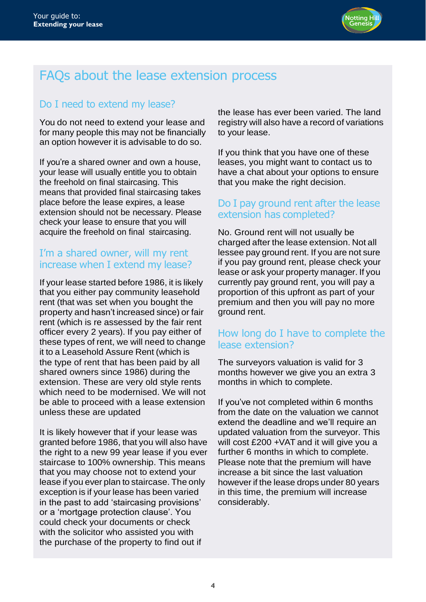

# FAQs about the lease extension process

# Do I need to extend my lease?

You do not need to extend your lease and for many people this may not be financially an option however it is advisable to do so.

If you're a shared owner and own a house, your lease will usually entitle you to obtain the freehold on final staircasing. This means that provided final staircasing takes place before the lease expires, a lease extension should not be necessary. Please check your lease to ensure that you will acquire the freehold on final staircasing.

## I'm a shared owner, will my rent increase when I extend my lease?

If your lease started before 1986, it is likely that you either pay community leasehold rent (that was set when you bought the property and hasn't increased since) or fair rent (which is re assessed by the fair rent officer every 2 years). If you pay either of these types of rent, we will need to change it to a Leasehold Assure Rent (which is the type of rent that has been paid by all shared owners since 1986) during the extension. These are very old style rents which need to be modernised. We will not be able to proceed with a lease extension unless these are updated

It is likely however that if your lease was granted before 1986, that you will also have the right to a new 99 year lease if you ever staircase to 100% ownership. This means that you may choose not to extend your lease if you ever plan to staircase. The only exception is if your lease has been varied in the past to add 'staircasing provisions' or a 'mortgage protection clause'. You could check your documents or check with the solicitor who assisted you with the purchase of the property to find out if

the lease has ever been varied. The land registry will also have a record of variations to your lease.

If you think that you have one of these leases, you might want to contact us to have a chat about your options to ensure that you make the right decision.

### Do I pay ground rent after the lease extension has completed?

No. Ground rent will not usually be charged after the lease extension. Not all lessee pay ground rent. If you are not sure if you pay ground rent, please check your lease or ask your property manager. If you currently pay ground rent, you will pay a proportion of this upfront as part of your premium and then you will pay no more ground rent.

# How long do I have to complete the lease extension?

The surveyors valuation is valid for 3 months however we give you an extra 3 months in which to complete.

If you've not completed within 6 months from the date on the valuation we cannot extend the deadline and we'll require an updated valuation from the surveyor. This will cost £200 +VAT and it will give you a further 6 months in which to complete. Please note that the premium will have increase a bit since the last valuation however if the lease drops under 80 years in this time, the premium will increase considerably.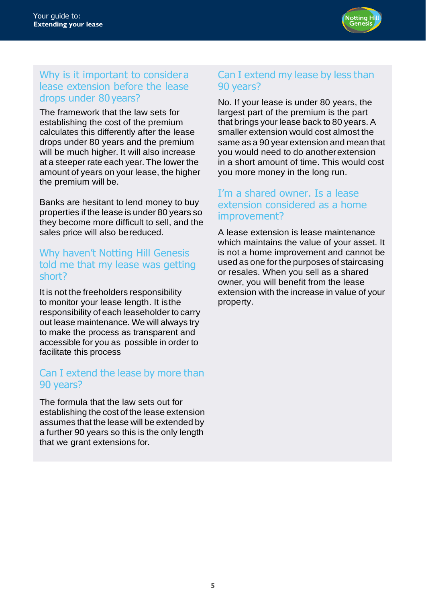

#### Why is it important to consider a lease extension before the lease drops under 80years?

The framework that the law sets for establishing the cost of the premium calculates this differently after the lease drops under 80 years and the premium will be much higher. It will also increase at a steeper rate each year. The lower the amount of years on your lease, the higher the premium will be.

Banks are hesitant to lend money to buy properties if the lease is under 80 years so they become more difficult to sell, and the sales price will also bereduced.

## Why haven't Notting Hill Genesis told me that my lease was getting short?

It is not the freeholders responsibility to monitor your lease length. It isthe responsibility of each leaseholder to carry out lease maintenance. We will always try to make the process as transparent and accessible for you as possible in order to facilitate this process

## Can I extend the lease by more than 90 years?

The formula that the law sets out for establishing the cost of the lease extension assumes that the lease will be extended by a further 90 years so this is the only length that we grant extensions for.

# Can I extend my lease by less than 90 years?

No. If your lease is under 80 years, the largest part of the premium is the part that brings your lease back to 80 years. A smaller extension would cost almost the same as a 90 year extension and mean that you would need to do anotherextension in a short amount of time. This would cost you more money in the long run.

### I'm a shared owner. Is a lease extension considered as a home improvement?

A lease extension is lease maintenance which maintains the value of your asset. It is not a home improvement and cannot be used as one for the purposes of staircasing or resales. When you sell as a shared owner, you will benefit from the lease extension with the increase in value of your property.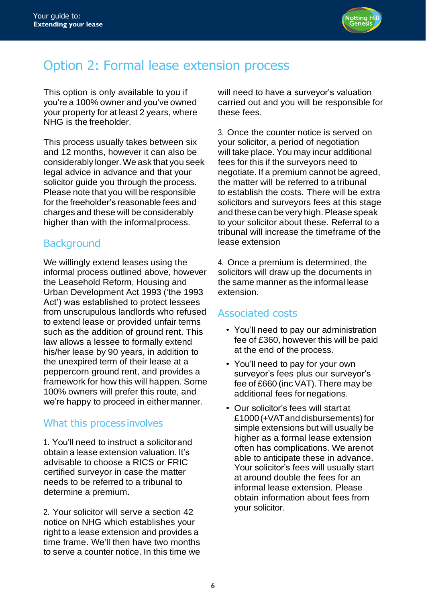

# Option 2: Formal lease extension process

This option is only available to you if you're a 100% owner and you've owned your property for at least 2 years, where NHG is the freeholder.

This process usually takes between six and 12 months, however it can also be considerably longer.We ask that you seek legal advice in advance and that your solicitor guide you through the process. Please note that you will be responsible for the freeholder's reasonable fees and charges and these will be considerably higher than with the informalprocess.

# **Background**

We willingly extend leases using the informal process outlined above, however the Leasehold Reform, Housing and Urban Development Act 1993 ('the 1993 Act') was established to protect lessees from unscrupulous landlords who refused to extend lease or provided unfair terms such as the addition of ground rent. This law allows a lessee to formally extend his/her lease by 90 years, in addition to the unexpired term of their lease at a peppercorn ground rent, and provides a framework for how this will happen. Some 100% owners will prefer this route, and we're happy to proceed in eithermanner.

# What this process involves

1. You'll need to instruct a solicitorand obtain a lease extension valuation. It's advisable to choose a RICS or FRIC certified surveyor in case the matter needs to be referred to a tribunal to determine a premium.

2. Your solicitor will serve a section 42 notice on NHG which establishes your right to a lease extension and provides a time frame. We'll then have two months to serve a counter notice. In this time we will need to have a surveyor's valuation carried out and you will be responsible for these fees.

3. Once the counter notice is served on your solicitor, a period of negotiation will take place. You may incur additional fees for this if the surveyors need to negotiate. If a premium cannot be agreed, the matter will be referred to a tribunal to establish the costs. There will be extra solicitors and surveyors fees at this stage and these can be very high. Please speak to your solicitor about these. Referral to a tribunal will increase the timeframe of the lease extension

4. Once a premium is determined, the solicitors will draw up the documents in the same manner as the informal lease extension.

# Associated costs

- You'll need to pay our administration fee of £360, however this will be paid at the end of the process.
- You'll need to pay for your own surveyor's fees plus our surveyor's fee of £660 (inc VAT). There may be additional fees fornegations.
- Our solicitor's fees will start at £1000 (+VAT and disbursements) for simple extensions but will usually be higher as a formal lease extension often has complications. We arenot able to anticipate these in advance. Your solicitor's fees will usually start at around double the fees for an informal lease extension. Please obtain information about fees from your solicitor.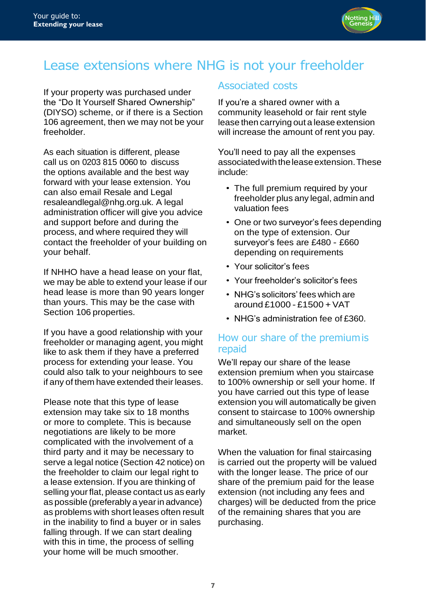

# Lease extensions where NHG is not your freeholder

If your property was purchased under the "Do It Yourself Shared Ownership" (DIYSO) scheme, or if there is a Section 106 agreement, then we may not be your freeholder.

As each situation is different, please call us on 0203 815 0060 to discuss the options available and the best way forward with your lease extension. You can also email [Resale and Legal](mailto:Resale%20and%20Legal%20resaleandlegal@nhg.org.uk.)  [resaleandlegal@nhg.org.uk.](mailto:Resale%20and%20Legal%20resaleandlegal@nhg.org.uk.) A legal administration officer will give you advice and support before and during the process, and where required they will contact the freeholder of your building on your behalf.

If NHHO have a head lease on your flat, we may be able to extend your lease if our head lease is more than 90 years longer than yours. This may be the case with Section 106 properties.

If you have a good relationship with your freeholder or managing agent, you might like to ask them if they have a preferred process for extending your lease. You could also talk to your neighbours to see if any of them have extended their leases.

Please note that this type of lease extension may take six to 18 months or more to complete. This is because negotiations are likely to be more complicated with the involvement of a third party and it may be necessary to serve a legal notice (Section 42 notice) on the freeholder to claim our legal right to a lease extension. If you are thinking of selling your flat, please contact us as early as possible (preferably a yearin advance) as problems with short leases often result in the inability to find a buyer or in sales falling through. If we can start dealing with this in time, the process of selling your home will be much smoother.

# Associated costs

If you're a shared owner with a community leasehold or fair rent style lease then carrying out a lease extension will increase the amount of rent you pay.

You'll need to pay all the expenses associated with the lease extension. These include:

- The full premium required by your freeholder plus any legal, admin and valuation fees
- One or two surveyor's fees depending on the type of extension. Our surveyor's fees are £480 - £660 depending on requirements
- Your solicitor's fees
- Your freeholder's solicitor's fees
- NHG's solicitors' fees which are around £1000 - £1500 + VAT
- NHG's administration fee of £360.

#### How our share of the premiumis repaid

We'll repay our share of the lease extension premium when you staircase to 100% ownership or sell your home. If you have carried out this type of lease extension you will automatically be given consent to staircase to 100% ownership and simultaneously sell on the open market.

When the valuation for final staircasing is carried out the property will be valued with the longer lease. The price of our share of the premium paid for the lease extension (not including any fees and charges) will be deducted from the price of the remaining shares that you are purchasing.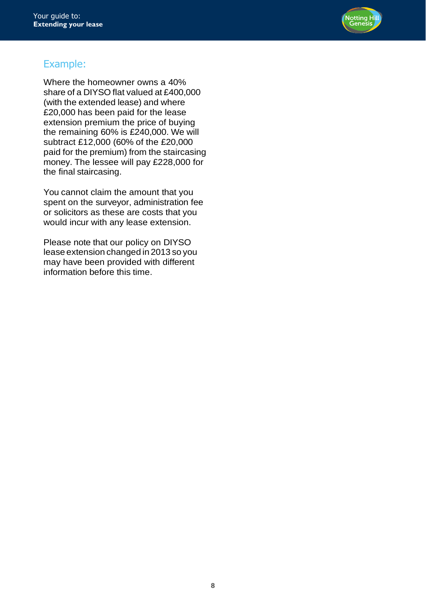

# Example:

Where the homeowner owns a 40% share of a DIYSO flat valued at £400,000 (with the extended lease) and where £20,000 has been paid for the lease extension premium the price of buying the remaining 60% is £240,000. We will subtract £12,000 (60% of the £20,000 paid for the premium) from the staircasing money. The lessee will pay £228,000 for the final staircasing.

You cannot claim the amount that you spent on the surveyor, administration fee or solicitors as these are costs that you would incur with any lease extension.

Please note that our policy on DIYSO lease extension changed in 2013 so you may have been provided with different information before this time.